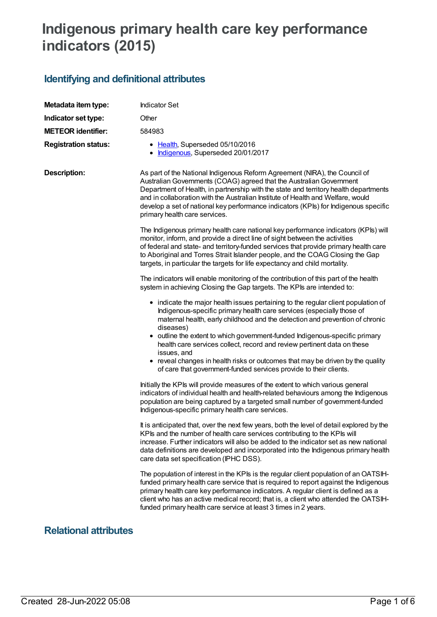# **Indigenous primary health care key performance indicators (2015)**

## **Identifying and definitional attributes**

| Metadata item type:         | <b>Indicator Set</b>                                                                                                                                                                                                                                                                                                                                                                                                                                 |  |
|-----------------------------|------------------------------------------------------------------------------------------------------------------------------------------------------------------------------------------------------------------------------------------------------------------------------------------------------------------------------------------------------------------------------------------------------------------------------------------------------|--|
| Indicator set type:         | Other                                                                                                                                                                                                                                                                                                                                                                                                                                                |  |
| <b>METEOR identifier:</b>   | 584983                                                                                                                                                                                                                                                                                                                                                                                                                                               |  |
| <b>Registration status:</b> | • Health, Superseded 05/10/2016<br>Indigenous, Superseded 20/01/2017                                                                                                                                                                                                                                                                                                                                                                                 |  |
| <b>Description:</b>         | As part of the National Indigenous Reform Agreement (NIRA), the Council of<br>Australian Governments (COAG) agreed that the Australian Government<br>Department of Health, in partnership with the state and territory health departments<br>and in collaboration with the Australian Institute of Health and Welfare, would<br>develop a set of national key performance indicators (KPIs) for Indigenous specific<br>primary health care services. |  |
|                             | The Indigenous primary health care national key performance indicators (KPIs) will<br>monitor, inform, and provide a direct line of sight between the activities<br>of federal and state- and territory-funded services that provide primary health care<br>to Aboriginal and Torres Strait Islander people, and the COAG Closing the Gap<br>targets, in particular the targets for life expectancy and child mortality.                             |  |
|                             | The indicators will enable monitoring of the contribution of this part of the health<br>system in achieving Closing the Gap targets. The KPIs are intended to:                                                                                                                                                                                                                                                                                       |  |
|                             | • indicate the major health issues pertaining to the regular client population of<br>Indigenous-specific primary health care services (especially those of<br>maternal health, early childhood and the detection and prevention of chronic<br>diseases)<br>• outline the extent to which government-funded Indigenous-specific primary<br>health care services collect, record and review pertinent data on these<br>issues, and                     |  |
|                             | • reveal changes in health risks or outcomes that may be driven by the quality<br>of care that government-funded services provide to their clients.                                                                                                                                                                                                                                                                                                  |  |
|                             | Initially the KPIs will provide measures of the extent to which various general<br>indicators of individual health and health-related behaviours among the Indigenous<br>population are being captured by a targeted small number of government-funded<br>Indigenous-specific primary health care services.                                                                                                                                          |  |
|                             | It is anticipated that, over the next few years, both the level of detail explored by the<br>KPIs and the number of health care services contributing to the KPIs will<br>increase. Further indicators will also be added to the indicator set as new national<br>data definitions are developed and incorporated into the Indigenous primary health<br>care data set specification (IPHC DSS).                                                      |  |
|                             | The population of interest in the KPIs is the regular client population of an OATSIH-<br>funded primary health care service that is required to report against the Indigenous<br>primary health care key performance indicators. A regular client is defined as a<br>client who has an active medical record; that is, a client who attended the OATSIH-<br>funded primary health care service at least 3 times in 2 years.                          |  |

### **Relational attributes**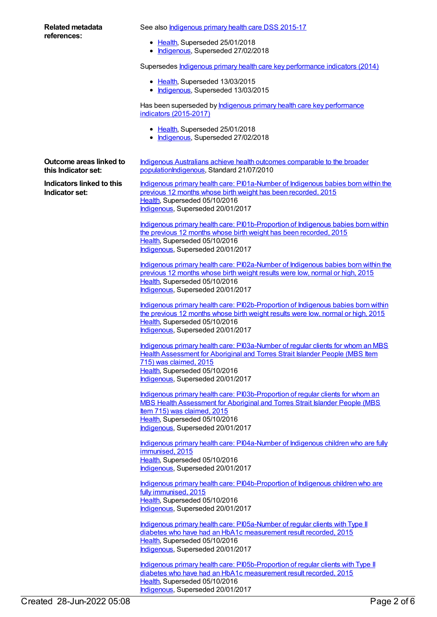| Related metadata                                          | See also <b>Indigenous primary health care DSS 2015-17</b>                                                                                             |
|-----------------------------------------------------------|--------------------------------------------------------------------------------------------------------------------------------------------------------|
| references:                                               | • Health, Superseded 25/01/2018                                                                                                                        |
|                                                           | • Indigenous, Superseded 27/02/2018                                                                                                                    |
|                                                           | Supersedes <b>Indigenous primary health care key performance indicators (2014)</b>                                                                     |
|                                                           | • Health, Superseded 13/03/2015<br>• Indigenous, Superseded 13/03/2015                                                                                 |
|                                                           | Has been superseded by <b>Indigenous primary health care key performance</b><br>indicators (2015-2017)                                                 |
|                                                           | • Health, Superseded 25/01/2018<br>Indigenous, Superseded 27/02/2018                                                                                   |
| Outcome areas linked to<br>this Indicator set:            | Indigenous Australians achieve health outcomes comparable to the broader<br>populationIndigenous, Standard 21/07/2010                                  |
| <b>Indicators linked to this</b><br><b>Indicator set:</b> | Indigenous primary health care: PI01a-Number of Indigenous babies born within the                                                                      |
|                                                           | previous 12 months whose birth weight has been recorded, 2015                                                                                          |
|                                                           | Health, Superseded 05/10/2016<br>Indigenous, Superseded 20/01/2017                                                                                     |
|                                                           |                                                                                                                                                        |
|                                                           | Indigenous primary health care: PI01b-Proportion of Indigenous babies born within<br>the previous 12 months whose birth weight has been recorded, 2015 |
|                                                           | Health, Superseded 05/10/2016                                                                                                                          |
|                                                           | Indigenous, Superseded 20/01/2017                                                                                                                      |
|                                                           | Indigenous primary health care: PI02a-Number of Indigenous babies born within the                                                                      |
|                                                           | previous 12 months whose birth weight results were low, normal or high, 2015                                                                           |
|                                                           | Health, Superseded 05/10/2016                                                                                                                          |
|                                                           | Indigenous, Superseded 20/01/2017                                                                                                                      |
|                                                           | Indigenous primary health care: PI02b-Proportion of Indigenous babies born within                                                                      |
|                                                           | the previous 12 months whose birth weight results were low, normal or high, 2015<br>Health, Superseded 05/10/2016                                      |
|                                                           | Indigenous, Superseded 20/01/2017                                                                                                                      |
|                                                           | Indigenous primary health care: PI03a-Number of regular clients for whom an MBS                                                                        |
|                                                           | <b>Health Assessment for Aboriginal and Torres Strait Islander People (MBS Item</b>                                                                    |
|                                                           | 715) was claimed, 2015                                                                                                                                 |
|                                                           | Health, Superseded 05/10/2016<br>Indigenous, Superseded 20/01/2017                                                                                     |
|                                                           |                                                                                                                                                        |
|                                                           | Indigenous primary health care: PI03b-Proportion of regular clients for whom an                                                                        |
|                                                           | MBS Health Assessment for Aboriginal and Torres Strait Islander People (MBS<br>Item 715) was claimed, 2015                                             |
|                                                           | Health, Superseded 05/10/2016                                                                                                                          |
|                                                           | Indigenous, Superseded 20/01/2017                                                                                                                      |
|                                                           | Indigenous primary health care: PI04a-Number of Indigenous children who are fully<br>immunised, 2015                                                   |
|                                                           | Health, Superseded 05/10/2016<br>Indigenous, Superseded 20/01/2017                                                                                     |
|                                                           | Indigenous primary health care: PI04b-Proportion of Indigenous children who are<br>fully immunised, 2015                                               |
|                                                           | Health, Superseded 05/10/2016<br>Indigenous, Superseded 20/01/2017                                                                                     |
|                                                           | care: DIOFo Number of requier eligate with Type II                                                                                                     |

Indigenous primary health care: [PI05a-Number](https://meteor.aihw.gov.au/content/588993) of regular clients with Type II diabetes who have had an HbA1c measurement result recorded, 2015 [Health](https://meteor.aihw.gov.au/RegistrationAuthority/12), Superseded 05/10/2016 [Indigenous](https://meteor.aihw.gov.au/RegistrationAuthority/6), Superseded 20/01/2017

Indigenous primary health care: [PI05b-Proportion](https://meteor.aihw.gov.au/content/588995) of regular clients with Type II diabetes who have had an HbA1c measurement result recorded, 2015 [Health](https://meteor.aihw.gov.au/RegistrationAuthority/12), Superseded 05/10/2016 [Indigenous](https://meteor.aihw.gov.au/RegistrationAuthority/6), Superseded 20/01/2017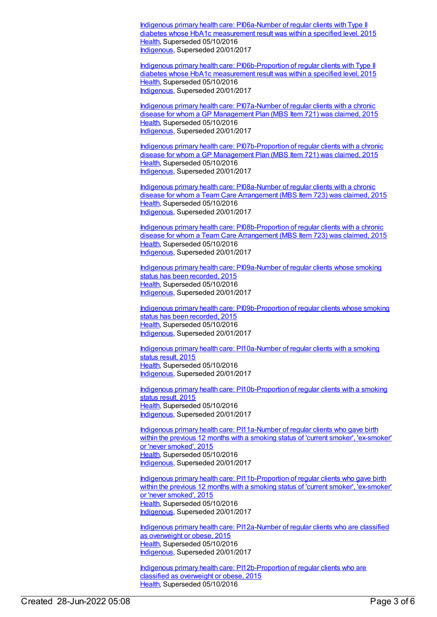Indigenous primary health care: [PI06a-Number](https://meteor.aihw.gov.au/content/592153) of regular clients with Type II diabetes whose HbA1c measurement result was within a specified level, 2015 [Health](https://meteor.aihw.gov.au/RegistrationAuthority/12), Superseded 05/10/2016 [Indigenous](https://meteor.aihw.gov.au/RegistrationAuthority/6), Superseded 20/01/2017

Indigenous primary health care: [PI06b-Proportion](https://meteor.aihw.gov.au/content/589004) of regular clients with Type II diabetes whose HbA1c measurement result was within a specified level, 2015 [Health](https://meteor.aihw.gov.au/RegistrationAuthority/12), Superseded 05/10/2016 [Indigenous](https://meteor.aihw.gov.au/RegistrationAuthority/6), Superseded 20/01/2017

Indigenous primary health care: [PI07a-Number](https://meteor.aihw.gov.au/content/589006) of regular clients with a chronic disease for whom a GP Management Plan (MBS Item 721) was claimed, 2015 [Health](https://meteor.aihw.gov.au/RegistrationAuthority/12), Superseded 05/10/2016 [Indigenous](https://meteor.aihw.gov.au/RegistrationAuthority/6), Superseded 20/01/2017

Indigenous primary health care: [PI07b-Proportion](https://meteor.aihw.gov.au/content/589008) of regular clients with a chronic disease for whom a GP Management Plan (MBS Item 721) was claimed, 2015 [Health](https://meteor.aihw.gov.au/RegistrationAuthority/12), Superseded 05/10/2016 [Indigenous](https://meteor.aihw.gov.au/RegistrationAuthority/6), Superseded 20/01/2017

Indigenous primary health care: [PI08a-Number](https://meteor.aihw.gov.au/content/589012) of regular clients with a chronic disease for whom a Team Care Arrangement (MBS Item 723) was claimed, 2015 [Health](https://meteor.aihw.gov.au/RegistrationAuthority/12), Superseded 05/10/2016 [Indigenous](https://meteor.aihw.gov.au/RegistrationAuthority/6), Superseded 20/01/2017

Indigenous primary health care: [PI08b-Proportion](https://meteor.aihw.gov.au/content/589016) of regular clients with a chronic disease for whom a Team Care Arrangement (MBS Item 723) was claimed, 2015 [Health](https://meteor.aihw.gov.au/RegistrationAuthority/12), Superseded 05/10/2016 [Indigenous](https://meteor.aihw.gov.au/RegistrationAuthority/6), Superseded 20/01/2017

Indigenous primary health care: [PI09a-Number](https://meteor.aihw.gov.au/content/589019) of regular clients whose smoking status has been recorded, 2015 [Health](https://meteor.aihw.gov.au/RegistrationAuthority/12), Superseded 05/10/2016 [Indigenous](https://meteor.aihw.gov.au/RegistrationAuthority/6), Superseded 20/01/2017

Indigenous primary health care: [PI09b-Proportion](https://meteor.aihw.gov.au/content/589021) of regular clients whose smoking status has been recorded, 2015 [Health](https://meteor.aihw.gov.au/RegistrationAuthority/12), Superseded 05/10/2016 [Indigenous](https://meteor.aihw.gov.au/RegistrationAuthority/6), Superseded 20/01/2017

Indigenous primary health care: [PI10a-Number](https://meteor.aihw.gov.au/content/589026) of regular clients with a smoking status result, 2015 [Health](https://meteor.aihw.gov.au/RegistrationAuthority/12), Superseded 05/10/2016 [Indigenous](https://meteor.aihw.gov.au/RegistrationAuthority/6), Superseded 20/01/2017

Indigenous primary health care: [PI10b-Proportion](https://meteor.aihw.gov.au/content/589030) of regular clients with a smoking status result, 2015 [Health](https://meteor.aihw.gov.au/RegistrationAuthority/12), Superseded 05/10/2016 [Indigenous](https://meteor.aihw.gov.au/RegistrationAuthority/6), Superseded 20/01/2017

Indigenous primary health care: [PI11a-Number](https://meteor.aihw.gov.au/content/589035) of regular clients who gave birth within the previous 12 months with a smoking status of 'current smoker', 'ex-smoker' or 'never smoked', 2015 [Health](https://meteor.aihw.gov.au/RegistrationAuthority/12), Superseded 05/10/2016 [Indigenous](https://meteor.aihw.gov.au/RegistrationAuthority/6), Superseded 20/01/2017

Indigenous primary health care: [PI11b-Proportion](https://meteor.aihw.gov.au/content/589037) of regular clients who gave birth within the previous 12 months with a smoking status of 'current smoker', 'ex-smoker' or 'never smoked', 2015 [Health](https://meteor.aihw.gov.au/RegistrationAuthority/12), Superseded 05/10/2016 [Indigenous](https://meteor.aihw.gov.au/RegistrationAuthority/6), Superseded 20/01/2017

Indigenous primary health care: [PI12a-Number](https://meteor.aihw.gov.au/content/589039) of regular clients who are classified as overweight or obese, 2015 [Health](https://meteor.aihw.gov.au/RegistrationAuthority/12), Superseded 05/10/2016 [Indigenous](https://meteor.aihw.gov.au/RegistrationAuthority/6), Superseded 20/01/2017

Indigenous primary health care: [PI12b-Proportion](https://meteor.aihw.gov.au/content/589041) of regular clients who are classified as overweight or obese, 2015 [Health](https://meteor.aihw.gov.au/RegistrationAuthority/12), Superseded 05/10/2016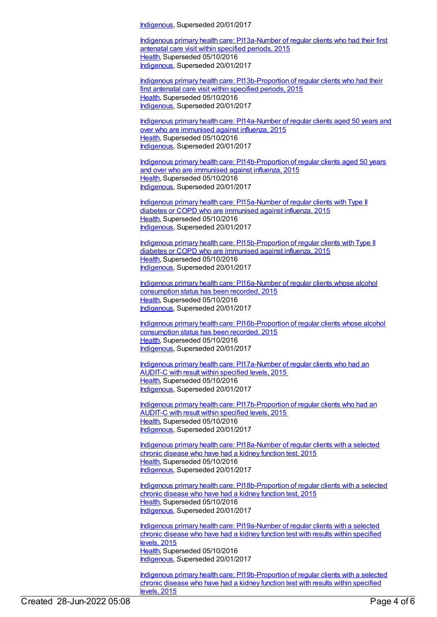[Indigenous](https://meteor.aihw.gov.au/RegistrationAuthority/6), Superseded 20/01/2017

Indigenous primary health care: [PI13a-Number](https://meteor.aihw.gov.au/content/589047) of regular clients who had their first antenatal care visit within specified periods, 2015 [Health](https://meteor.aihw.gov.au/RegistrationAuthority/12), Superseded 05/10/2016 [Indigenous](https://meteor.aihw.gov.au/RegistrationAuthority/6), Superseded 20/01/2017

Indigenous primary health care: [PI13b-Proportion](https://meteor.aihw.gov.au/content/589049) of regular clients who had their first antenatal care visit within specified periods, 2015 [Health](https://meteor.aihw.gov.au/RegistrationAuthority/12), Superseded 05/10/2016 [Indigenous](https://meteor.aihw.gov.au/RegistrationAuthority/6), Superseded 20/01/2017

Indigenous primary health care: [PI14a-Number](https://meteor.aihw.gov.au/content/589051) of regular clients aged 50 years and over who are immunised against influenza, 2015 [Health](https://meteor.aihw.gov.au/RegistrationAuthority/12), Superseded 05/10/2016 [Indigenous](https://meteor.aihw.gov.au/RegistrationAuthority/6), Superseded 20/01/2017

Indigenous primary health care: [PI14b-Proportion](https://meteor.aihw.gov.au/content/589053) of regular clients aged 50 years and over who are immunised against influenza, 2015 [Health](https://meteor.aihw.gov.au/RegistrationAuthority/12), Superseded 05/10/2016 [Indigenous](https://meteor.aihw.gov.au/RegistrationAuthority/6), Superseded 20/01/2017

Indigenous primary health care: [PI15a-Number](https://meteor.aihw.gov.au/content/589056) of regular clients with Type II diabetes or COPD who are immunised against influenza, 2015 [Health](https://meteor.aihw.gov.au/RegistrationAuthority/12), Superseded 05/10/2016 [Indigenous](https://meteor.aihw.gov.au/RegistrationAuthority/6), Superseded 20/01/2017

Indigenous primary health care: [PI15b-Proportion](https://meteor.aihw.gov.au/content/589059) of regular clients with Type II diabetes or COPD who are immunised against influenza, 2015 [Health](https://meteor.aihw.gov.au/RegistrationAuthority/12), Superseded 05/10/2016 [Indigenous](https://meteor.aihw.gov.au/RegistrationAuthority/6), Superseded 20/01/2017

Indigenous primary health care: [PI16a-Number](https://meteor.aihw.gov.au/content/589061) of regular clients whose alcohol consumption status has been recorded, 2015 [Health](https://meteor.aihw.gov.au/RegistrationAuthority/12), Superseded 05/10/2016 [Indigenous](https://meteor.aihw.gov.au/RegistrationAuthority/6), Superseded 20/01/2017

Indigenous primary health care: [PI16b-Proportion](https://meteor.aihw.gov.au/content/589064) of regular clients whose alcohol consumption status has been recorded, 2015 [Health](https://meteor.aihw.gov.au/RegistrationAuthority/12), Superseded 05/10/2016 [Indigenous](https://meteor.aihw.gov.au/RegistrationAuthority/6), Superseded 20/01/2017

Indigenous primary health care: [PI17a-Number](https://meteor.aihw.gov.au/content/591952) of regular clients who had an AUDIT-C with result within specified levels, 2015 [Health](https://meteor.aihw.gov.au/RegistrationAuthority/12), Superseded 05/10/2016 [Indigenous](https://meteor.aihw.gov.au/RegistrationAuthority/6), Superseded 20/01/2017

Indigenous primary health care: [PI17b-Proportion](https://meteor.aihw.gov.au/content/585006) of regular clients who had an AUDIT-C with result within specified levels, 2015 [Health](https://meteor.aihw.gov.au/RegistrationAuthority/12), Superseded 05/10/2016 [Indigenous](https://meteor.aihw.gov.au/RegistrationAuthority/6), Superseded 20/01/2017

Indigenous primary health care: [PI18a-Number](https://meteor.aihw.gov.au/content/589067) of regular clients with a selected chronic disease who have had a kidney function test, 2015 [Health](https://meteor.aihw.gov.au/RegistrationAuthority/12), Superseded 05/10/2016 [Indigenous](https://meteor.aihw.gov.au/RegistrationAuthority/6), Superseded 20/01/2017

Indigenous primary health care: [PI18b-Proportion](https://meteor.aihw.gov.au/content/589069) of regular clients with a selected chronic disease who have had a kidney function test, 2015 [Health](https://meteor.aihw.gov.au/RegistrationAuthority/12), Superseded 05/10/2016 [Indigenous](https://meteor.aihw.gov.au/RegistrationAuthority/6), Superseded 20/01/2017

Indigenous primary health care: [PI19a-Number](https://meteor.aihw.gov.au/content/594135) of regular clients with a selected chronic disease who have had a kidney function test with results within specified levels, 2015 [Health](https://meteor.aihw.gov.au/RegistrationAuthority/12), Superseded 05/10/2016 [Indigenous](https://meteor.aihw.gov.au/RegistrationAuthority/6), Superseded 20/01/2017

Indigenous primary health care: [PI19b-Proportion](https://meteor.aihw.gov.au/content/594108) of regular clients with a selected chronic disease who have had a kidney function test with results within specified levels, 2015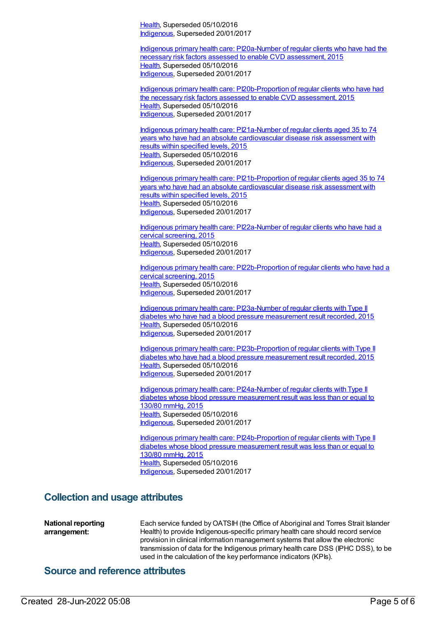[Health](https://meteor.aihw.gov.au/RegistrationAuthority/12), Superseded 05/10/2016 [Indigenous](https://meteor.aihw.gov.au/RegistrationAuthority/6), Superseded 20/01/2017

Indigenous primary health care: [PI20a-Number](https://meteor.aihw.gov.au/content/591955) of regular clients who have had the necessary risk factors assessed to enable CVD assessment, 2015 [Health](https://meteor.aihw.gov.au/RegistrationAuthority/12), Superseded 05/10/2016 [Indigenous](https://meteor.aihw.gov.au/RegistrationAuthority/6), Superseded 20/01/2017

Indigenous primary health care: [PI20b-Proportion](https://meteor.aihw.gov.au/content/588801) of regular clients who have had the necessary risk factors assessed to enable CVD assessment, 2015 [Health](https://meteor.aihw.gov.au/RegistrationAuthority/12), Superseded 05/10/2016 [Indigenous](https://meteor.aihw.gov.au/RegistrationAuthority/6), Superseded 20/01/2017

Indigenous primary health care: PI21a-Number of regular clients aged 35 to 74 years who have had an absolute [cardiovascular](https://meteor.aihw.gov.au/content/591202) disease risk assessment with results within specified levels, 2015 [Health](https://meteor.aihw.gov.au/RegistrationAuthority/12), Superseded 05/10/2016 [Indigenous](https://meteor.aihw.gov.au/RegistrationAuthority/6), Superseded 20/01/2017

Indigenous primary health care: [PI21b-Proportion](https://meteor.aihw.gov.au/content/585230) of regular clients aged 35 to 74 years who have had an absolute cardiovascular disease risk assessment with results within specified levels, 2015 [Health](https://meteor.aihw.gov.au/RegistrationAuthority/12), Superseded 05/10/2016 [Indigenous](https://meteor.aihw.gov.au/RegistrationAuthority/6), Superseded 20/01/2017

Indigenous primary health care: [PI22a-Number](https://meteor.aihw.gov.au/content/589075) of regular clients who have had a cervical screening, 2015 [Health](https://meteor.aihw.gov.au/RegistrationAuthority/12), Superseded 05/10/2016 [Indigenous](https://meteor.aihw.gov.au/RegistrationAuthority/6), Superseded 20/01/2017

Indigenous primary health care: [PI22b-Proportion](https://meteor.aihw.gov.au/content/589077) of regular clients who have had a cervical screening, 2015 [Health](https://meteor.aihw.gov.au/RegistrationAuthority/12), Superseded 05/10/2016 [Indigenous](https://meteor.aihw.gov.au/RegistrationAuthority/6), Superseded 20/01/2017

Indigenous primary health care: [PI23a-Number](https://meteor.aihw.gov.au/content/589079) of regular clients with Type II diabetes who have had a blood pressure measurement result recorded, 2015 [Health](https://meteor.aihw.gov.au/RegistrationAuthority/12), Superseded 05/10/2016 [Indigenous](https://meteor.aihw.gov.au/RegistrationAuthority/6), Superseded 20/01/2017

Indigenous primary health care: [PI23b-Proportion](https://meteor.aihw.gov.au/content/589081) of regular clients with Type II diabetes who have had a blood pressure measurement result recorded, 2015 [Health](https://meteor.aihw.gov.au/RegistrationAuthority/12), Superseded 05/10/2016 [Indigenous](https://meteor.aihw.gov.au/RegistrationAuthority/6), Superseded 20/01/2017

Indigenous primary health care: [PI24a-Number](https://meteor.aihw.gov.au/content/589083) of regular clients with Type II diabetes whose blood pressure measurement result was less than or equal to 130/80 mmHg, 2015 [Health](https://meteor.aihw.gov.au/RegistrationAuthority/12), Superseded 05/10/2016 [Indigenous](https://meteor.aihw.gov.au/RegistrationAuthority/6), Superseded 20/01/2017

Indigenous primary health care: [PI24b-Proportion](https://meteor.aihw.gov.au/content/589085) of regular clients with Type II diabetes whose blood pressure measurement result was less than or equal to 130/80 mmHg, 2015 [Health](https://meteor.aihw.gov.au/RegistrationAuthority/12), Superseded 05/10/2016 [Indigenous](https://meteor.aihw.gov.au/RegistrationAuthority/6), Superseded 20/01/2017

#### **Collection and usage attributes**

**National reporting arrangement:** Each service funded by OATSIH (the Office of Aboriginal and Torres Strait Islander Health) to provide Indigenous-specific primary health care should record service provision in clinical information management systems that allow the electronic transmission of data for the Indigenous primary health care DSS (IPHC DSS), to be used in the calculation of the key performance indicators (KPIs).

#### **Source and reference attributes**